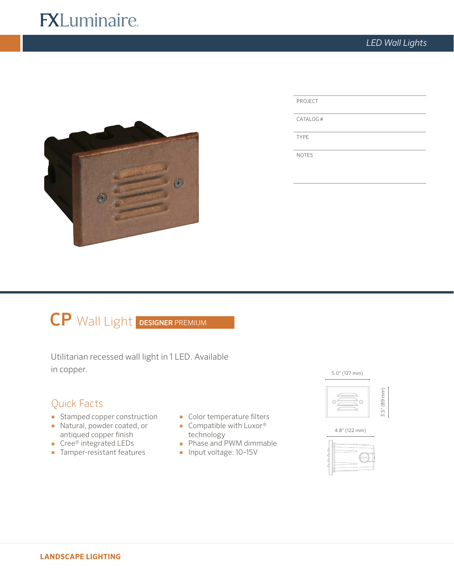# **FXLuminaire.**



CATALOG #

TYPE

NOTES

# CP Wall Light DESIGNER PREMIUM

Utilitarian recessed wall light in 1 LED. Available  $\text{in copper.}$  5.0" (127 mm)

# Quick Facts

- Stamped copper construction
- Natural, powder coated, or antiqued copper finish
- Cree® integrated LEDs
- Tamper-resistant features
- Color temperature filters
- Compatible with Luxor<sup>®</sup> technology
- Phase and PWM dimmable
- Input voltage: 10-15V





4.8" (122 mm)

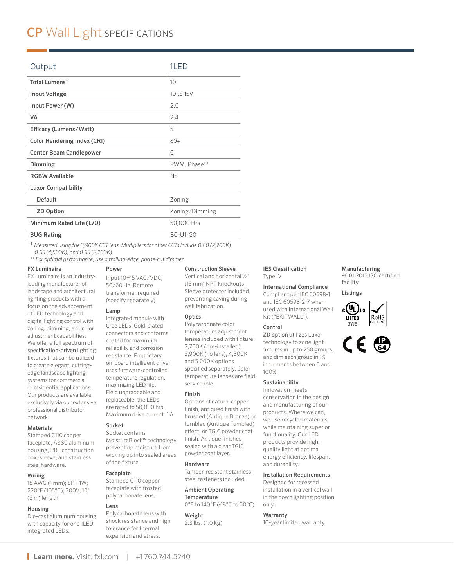# CP Wall Light SPECIFICATIONS

| Output                             | 1LED                                         |  |
|------------------------------------|----------------------------------------------|--|
| Total Lumens <sup>†</sup>          | 10                                           |  |
| Input Voltage                      | 10 to 15V                                    |  |
| Input Power (W)                    | 2.0                                          |  |
| VA                                 | 2.4                                          |  |
| Efficacy (Lumens/Watt)             | 5                                            |  |
| <b>Color Rendering Index (CRI)</b> | $80+$                                        |  |
| <b>Center Beam Candlepower</b>     | 6                                            |  |
| Dimming                            | PWM, Phase**                                 |  |
| <b>RGBW Available</b>              | <b>No</b>                                    |  |
| <b>Luxor Compatibility</b>         |                                              |  |
| <b>Default</b>                     | Zoning                                       |  |
| <b>ZD Option</b>                   | Zoning/Dimming                               |  |
| Minimum Rated Life (L70)           | 50,000 Hrs                                   |  |
| <b>BUG Rating</b>                  | <b>BO-U1-GO</b>                              |  |
| <b>.</b>                           | $\cdots$ $\cdots$ $\cdots$ $\cdots$ $\cdots$ |  |

† *Measured using the 3,900K CCT lens. Multipliers for other CCTs include 0.80 (2,700K), 0.65 (4,500K), and 0.65 (5,200K).*

*\*\* For optimal performance, use a trailing-edge, phase-cut dimmer.* 

#### FX Luminaire

FX Luminaire is an industryleading manufacturer of landscape and architectural lighting products with a focus on the advancement of LED technology and digital lighting control with zoning, dimming, and color adjustment capabilities. We offer a full spectrum of specification-driven lighting fixtures that can be utilized to create elegant, cuttingedge landscape lighting systems for commercial or residential applications. Our products are available exclusively via our extensive professional distributor network.

## Materials

Stamped C110 copper faceplate, A380 aluminum housing, PBT construction box/sleeve, and stainless steel hardware.

## Wiring

18 AWG (1 mm); SPT-1W; 220°F (105°C); 300V; 10' (3 m) length

#### Housing

Die-cast aluminum housing with capacity for one 1LED integrated LEDs.

#### Power

Input 10–15 VAC/VDC, 50/60 Hz. Remote transformer required (specify separately).

#### Lamp

Integrated module with Cree LEDs. Gold-plated connectors and conformal coated for maximum reliability and corrosion resistance. Proprietary on-board intelligent driver uses firmware-controlled temperature regulation, maximizing LED life. Field upgradeable and replaceable, the LEDs are rated to 50,000 hrs. Maximum drive current: 1 A.

# Socket

Socket contains MoistureBlock™ technology, preventing moisture from wicking up into sealed areas of the fixture.

#### Faceplate

Stamped C110 copper faceplate with frosted polycarbonate lens.

# Lens

Polycarbonate lens with shock resistance and high tolerance for thermal expansion and stress.

#### Construction Sleeve

Vertical and horizontal ½" (13 mm) NPT knockouts. Sleeve protector included, preventing caving during wall fabrication.

## **Optics**

Polycarbonate color temperature adjustment lenses included with fixture: 2,700K (pre-installed), 3,900K (no lens), 4,500K and 5,200K options specified separately. Color temperature lenses are field serviceable.

#### Finish

Options of natural copper finish, antiqued finish with brushed (Antique Bronze) or tumbled (Antique Tumbled) effect, or TGIC powder coat finish. Antique finishes sealed with a clear TGIC powder coat layer.

#### Hardware

Tamper-resistant stainless steel fasteners included.

# Ambient Operating **Temperature**

0°F to 140°F (-18°C to 60°C)

Weight 2.3 lbs. (1.0 kg)

### IES Classification Type IV

International Compliance

Compliant per IEC 60598-1 and IEC 60598-2-7 when used with International Wall Kit ("EKITWALL").

#### Control

ZD option utilizes Luxor technology to zone light fixtures in up to 250 groups, and dim each group in 1% increments between 0 and 100%.

## Sustainability

Innovation meets conservation in the design and manufacturing of our products. Where we can, we use recycled materials while maintaining superior functionality. Our LED products provide highquality light at optimal energy efficiency, lifespan, and durability.

#### Installation Requirements

Designed for recessed installation in a vertical wall in the down lighting position only.

#### Warranty

10-year limited warranty

#### Manufacturing 9001:2015 ISO certified facility

Listings



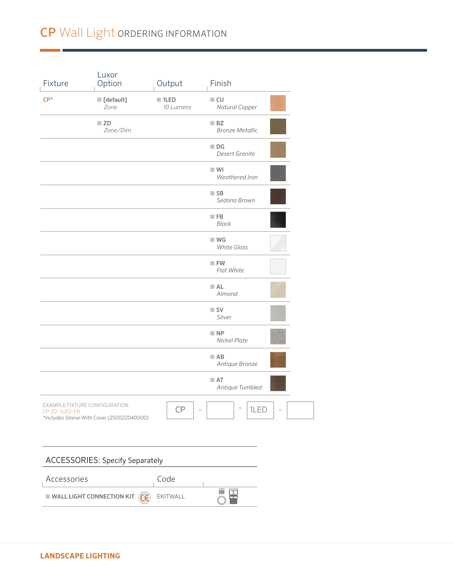# CP Wall Light ORDERING INFORMATION

| Fixture                       | Luxor<br>Option                                                              | Output                           | Finish                               |
|-------------------------------|------------------------------------------------------------------------------|----------------------------------|--------------------------------------|
| $CP*$                         | [default]<br>Zone                                                            | $\blacksquare$ 1LED<br>10 Lumens | $\blacksquare$ CU<br>Natural Copper  |
| $\blacksquare$ ZD<br>Zone/Dim |                                                                              | BZ<br><b>Bronze Metallic</b>     |                                      |
|                               |                                                                              |                                  | $\Box$ DG<br><b>Desert Granite</b>   |
|                               |                                                                              |                                  | $\blacksquare$ WI<br>Weathered Iron  |
|                               |                                                                              |                                  | $\blacksquare$ SB<br>Sedona Brown    |
|                               |                                                                              |                                  | $\blacksquare$ FB<br><b>Black</b>    |
|                               |                                                                              |                                  | W<br><b>White Gloss</b>              |
|                               |                                                                              |                                  | $\blacksquare$ FW<br>Flat White      |
|                               |                                                                              |                                  | A <sub>L</sub><br>Almond             |
|                               |                                                                              |                                  | $\blacksquare$ SV<br>Silver          |
|                               |                                                                              |                                  | $\blacksquare$ NP<br>Nickel Plate    |
|                               |                                                                              |                                  | $\blacksquare$ AB<br>Antique Bronze  |
|                               |                                                                              |                                  | $\blacksquare$ AT<br>Antique Tumbled |
| CP-ZD-1LED-FB                 | EXAMPLE FIXTURE CONFIGURATION:<br>*Includes Sleeve With Cover (250022040000) | CP                               | $\overline{a}$<br>┍<br>1LED          |
|                               |                                                                              |                                  |                                      |
|                               | <b>ACCESSORIES: Specify Separately</b>                                       |                                  |                                      |
| Accessories                   |                                                                              | Code                             |                                      |
|                               | <b>WALL LIGHT CONNECTION KIT</b>                                             | EKITWALL                         | 閳<br>m                               |